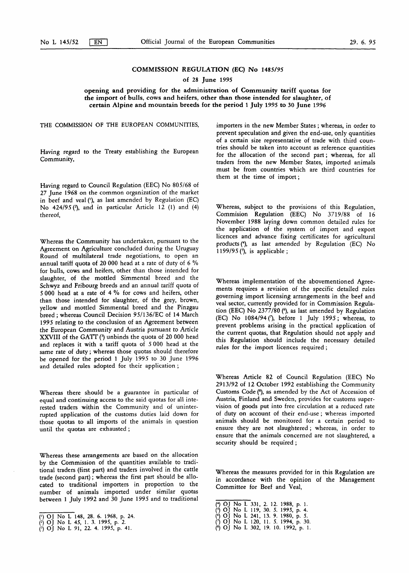# COMMISSION REGULATION (EC) No 1485/95

of 28 June 1995

opening and providing for the administration of Community tariff quotas for the import of bulls, cows and heifers, other than those intended for slaughter, of certain Alpine and mountain breeds for the period <sup>1</sup> July 1995 to 30 June 1996

Having regard to the Treaty establishing the European Community,

Having regard to Council Regulation (EEC) No 805/68 of 27 June 1968 on the common organization of the market in beef and veal ('), as last amended by Regulation (EC) No  $424/95$  ( $\degree$ ), and in particular Article 12 (1) and (4) thereof,

Whereas the Community has undertaken, pursuant to the Agreement on Agriculture concluded during the Uruguay Round of multilateral trade negotiations, to open an annual tariff quota of 20 000 head at a rate of duty of 6 % for bulls, cows and heifers, other than those intended for slaughter, of the mottled Simmental breed and the Schwyz and Fribourg breeds and an annual tariff quota of 5 000 head at a rate of 4 % for cows and heifers, other than those intended for slaughter, of the grey, brown, yellow and mottled Simmental breed and the Pinzgau breed; whereas Council Decision 95/136/EC of 14 March 1995 relating to the conclusion of an Agreement between the European Community and Austria pursuant to Article XXVIII of the GATT (3) unbinds the quota of 20 000 head and replaces it with a tariff quota of 5 000 head at the same rate of duty ; whereas those quotas should therefore be opened for the period <sup>1</sup> July 1995 to 30 June 1996 and detailed rules adopted for their application ;

Whereas there should be a guarantee in particular of equal and continuing access to the said quotas for all interested traders within the Community and of uninterrupted application of the customs duties laid down for those quotas to all imports of the animals in question until the quotas are exhausted ;

Whereas these arrangements are based on the allocation by the Commission of the quantities available to traditional traders (first part) and traders involved in the cattle trade (second part) ; whereas the first part should be allocated to traditional importers in proportion to the number of animals imported under similar quotas between <sup>1</sup> July 1992 and 30 June 1995 and to traditional

THE COMMISSION OF THE EUROPEAN COMMUNITIES, importers in the new Member States ; whereas, in order to prevent speculation and given the end-use, only quantities of a certain size representative of trade with third countries should be taken into account as reference quantities for the allocation of the second part ; whereas, for all traders from the new Member States, imported animals must be from countries which are third countries for them at the time of import ;

> Whereas, subject to the provisions of this Regulation, Commision Regulation (EEC) No 3719/88 of 16 November 1988 laying down common detailed rules for the application of the system of import and export licences and advance fixing certificates for agricultural products (4), as last amended by Regulation (EC) No 1199/95 $(9)$ , is applicable;

> Whereas implementation of the abovementioned Agreements requires a revision of the specific detailed rules governing import licensing arrangements in the beef and veal sector, currently provided for in Commission Regulation (EEC) No  $2377/80$  ( $6$ ), as last amended by Regulation (EC) No 1084/94 (7), before 1 July 1995; whereas, to prevent problems arising in the practical application of the current quotas, that Regulation should not apply and this Regulation should include the necessary detailed rules for the import licences required ;

> Whereas Article 82 of Council Regulation (EEC) No 2913/92 of 12 October 1992 establishing the Community Customs Code (8), as amended by the Act of Accession of Austria, Finland and Sweden, provides for customs supervision of goods put into free circulation at a reduced rate of duty on account of their end-use ; whereas imported animals should be monitored for a certain period to ensure they are not slaughtered ; whereas, in order to ensure that the animals concerned are not slaughtered, a security should be required ;

> Whereas the measures provided for in this Regulation are in accordance with the opinion of the Management Committee for Beef and Veal,

- (\*) OJ No L 331, 2. 12. 1988, p. 1.
- (9) OJ No L 119, 30. 5. 1995, p. 4.<br>(9) OJ No L 241, 13. 9. 1980, p. 5.<br>(7) OJ No L 120, 11. 5. 1994, p. 30.<br>(9) OJ No L 302, 19. 10. 1992, p. 1.
- 
- 

<sup>(</sup>l) OJ No L 148, 28. 6. 1968, p. 24.

<sup>(\*)</sup> OJ No L 45, <sup>1</sup> . 3. 1995, p. 2.

 $P(3)$  OJ No L 91, 22. 4. 1995, p. 41.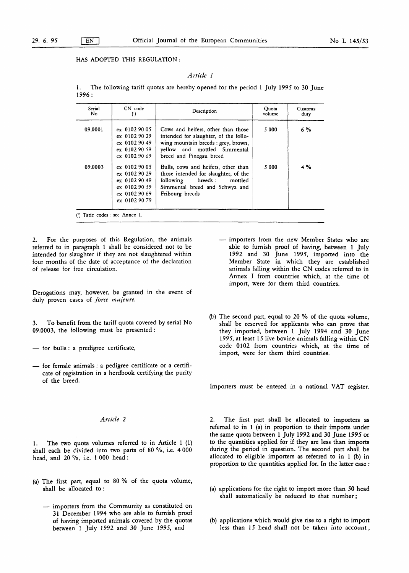HAS ADOPTED THIS REGULATION :

#### Article <sup>1</sup>

1. The following tariff quotas are hereby opened for the period 1 July 1995 to 30 June 1996 :

| Serial<br>No.                  | CN code                                                                                              | Description                                                                                                                                                                   | Quota<br>volume | Customs<br>duty |
|--------------------------------|------------------------------------------------------------------------------------------------------|-------------------------------------------------------------------------------------------------------------------------------------------------------------------------------|-----------------|-----------------|
| 09.0001                        | ex 0102 90 05<br>$ex$ 0102 90 29<br>$ex$ 0102 90 49<br>$ex$ 0102 90 59<br>ex 0102 90 69              | Cows and heifers, other than those<br>intended for slaughter, of the follo-<br>wing mountain breeds : grey, brown,<br>yellow and mottled Simmental<br>breed and Pinzgau breed | 5 0 0 0         | $6\%$           |
| 09.0003                        | $ex$ 0102 90 05<br>ex 0102 90 29<br>ex 0102 90 49<br>ex 0102 90 59<br>ex 0102 90 69<br>ex 0102 90 79 | Bulls, cows and heifers, other than<br>those intended for slaughter, of the<br>breeds :<br>following<br>mottled<br>Simmental breed and Schwyz and<br>Fribourg breeds          | 5 0 0 0         | 4 %             |
| (1) Taric codes : see Annex I. |                                                                                                      |                                                                                                                                                                               |                 |                 |

2. For the purposes of this Regulation, the animals referred to in paragraph <sup>1</sup> shall be considered not to be intended for slaughter if they are not slaughtered within four months of the date of acceptance of the declaration of release for free circulation .

Derogations may, however, be granted in the event of duly proven cases of *force majeure*.

To benefit from the tariff quota covered by serial No 09.0003, the following must be presented :

- for bulls : a predigree certificate,
- for female animals : a pedigree certificate or a certificate of registration in a herdbook certifying the purity of the breed.

1. The two quota volumes referred to in Article 1 (1) shall each be divided into two parts of 80 %, i.e. 4 000 head, and 20 %, i.e. <sup>1</sup> 000 head :

- (a) The first part, equal to 80 % of the quota volume, shall be allocated to :
	- importers from the Community as constituted on 31 December 1994 who are able to furnish proof of having imported animals covered by the quotas between <sup>1</sup> July 1992 and 30 June 1995, and
- importers from the new Member States who are able to furnish proof of having, between <sup>1</sup> July 1992 and 30 June 1995, imported into the Member State in which they are established animals falling within the CN codes referred to in Annex I from countries which, at the time of import, were for them third countries.
- (b) The second part, equal to 20 % of the quota volume, shall be reserved for applicants who can prove that they imported, between <sup>1</sup> July 1994 and 30 June 1995, at least 15 live bovine animals falling within CN code 0102 from countries which, at the time of import, were for them third countries.

Importers must be entered in a national VAT register.

Article 2 2. The first part shall be allocated to importers as referred to in <sup>1</sup> (a) in proportion to their imports under the same quota between <sup>1</sup> July 1992 and 30 June 1995 or to the quantities applied for if they are less than imports during the period in question. The second part shall be allocated to eligible importers as referred to in <sup>1</sup> (b) in proportion to the quantities applied for. In the latter case :

- (a) applications for the right to import more than 50 head shall automatically be reduced to that number ;
- (b) applications which would give rise to a right to import less than 15 head shall not be taken into account ;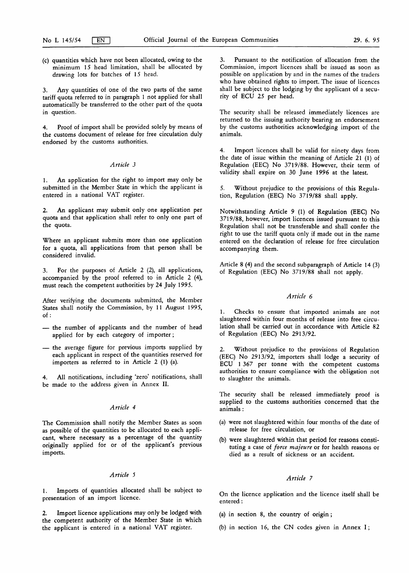(c) quantities which have not been allocated, owing to the minimum 15 head limitation, shall be allocated by drawing lots for batches of 15 head.

3 . Any quantities of one of the two parts of the same tariff quota referred to in paragraph <sup>1</sup> not applied for shall automatically be transferred to the other part of the quota in question.

4. Proof of import shall be provided solely by means of the customs document of release for free circulation duly endorsed by the customs authorities.

#### Article 3

1. An application for the right to import may only be submitted in the Member State in which the applicant is entered in a national VAT register.

2. An applicant may submit only one application per quota and that application shall refer to only one part of the quota.

Where an applicant submits more than one application for a quota, all applications from that person shall be considered invalid.

3. For the purposes of Article 2 (2), all applications, accompanied by the proof referred to in Article 2 (4), must reach the competent authorities by 24 July 1995.

After verifying the documents submitted, the Member States shall notify the Commission, by 11 August 1995, of :

- the number of applicants and the number of head applied for by each category of importer ;
- the average figure for previous imports supplied by each applicant in respect of the quantities reserved for importers as referred to in Article 2 (1) (a).

4. All notifications, including 'zero' notifications, shall be made to the address given in Annex II.

### Article 4

The Commission shall notify the Member States as soon as possible of the quantities to be allocated to each applicant, where necessary as a percentage of the quantity originally applied for or of the applicant's previous imports.

### Article 5

1. Imports of quantities allocated shall be subject to presentation of an import licence.

2. Import licence applications may only be lodged with the competent authority of the Member State in which the applicant is entered in a national VAT register.

3. Pursuant to the notification of allocation from the Commission, import licences shall be issued as soon as possible on application by and in the names of the traders who have obtained rights to import. The issue of licences shall be subject to the lodging by the applicant of a security of ECU 25 per head.

The security shall be released immediately licences are returned to the issuing authority bearing an endorsement by the customs authorities acknowledging import of the animals.

4. Import licences shall be valid for ninety days from the date of issue within the meaning of Article 21 (1) of Regulation (EEC) No 3719/88 . However, their term of validity shall expire on 30 June 1996 at the latest.

5. Without prejudice to the provisions of this Regulation, Regulation (EEC) No 3719/88 shall apply.

Notwithstanding Article 9 (1) of Regulation (EEC) No 3719/88, however, import licences issued pursuant to this Regulation shall not be transferable and shall confer the right to use the tariff quota only if made out in the name entered on the declaration of release for free circulation accompanying them.

Article 8 (4) and the second subparagraph of Article 14 (3) of Regulation (EEC) No 3719/88 shall not apply.

#### Article 6

1. Checks to ensure that imported animals are not slaughtered within four months of release into free circulation shall be carried out in accordance with Article 82 of Regulation (EEC) No 2913/92.

2. Without prejudice to the provisions of Regulation (EEC) No 2913/92, importers shall lodge a security of ECU <sup>1</sup> 367 per tonne with the competent customs authorities to ensure compliance with the obligation not to slaughter the animals.

The security shall be released immediately proof is supplied to the customs authorities concerned that the animals :

- (a) were not slaughtered within four months of the date of release for free circulation, or
- (b) were slaughtered within that period for reasons constituting a case of *force majeure* or for health reasons or died as a result of sickness or an accident.

## Article 7

On the licence application and the licence itself shall be entered :

- (a) in section 8, the country of origin;
- (b) in section 16, the CN codes given in Annex  $I$ ;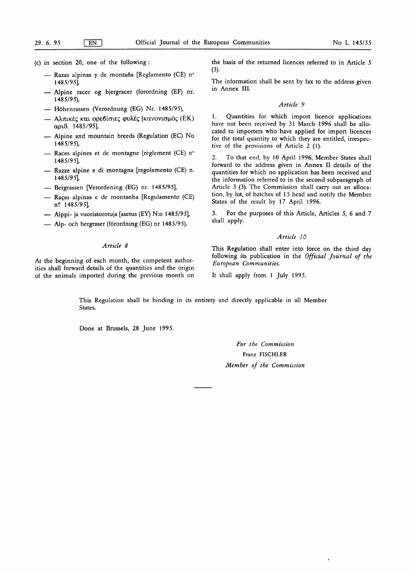- (c) in section 20, one of the following:
	- Razas alpinas y de montaña [Reglamento (CE) n° 1485/951
	- Alpine racer og bjergracer (forordning (EF) nr. 1485/95),
	- Höhenrassen (Verordnung (EG) Nr. 1485/95),
	- Αλπικές και ορεβίσιες φυλές [κανονισμός (ΕΚ) αριθ. 1485/95],
	- Alpine and mountain breeds (Regulation (EC) No 1485/95),
	- Races alpines et de montagne [règlement (CE)  $n^{\circ}$ 1485/951,
	- Razze alpine e di montagna [regolamento (CE) n. 1485/95],
	- Bergrassen [Verordening (EG) nr. 1485/95],
	- Raças alpinas e de montanha [Regulamento (CE) n? 1485/95],
	- Alppi- ja vuoristorotuja [asetus (EY) N:o 1485/95],
	- Alp- och bergraser (förordning (EG) nr 1485/95).

## Article 8

At the beginning of each month, the competent authorities shall forward details of the quantities and the origin of the animals imported during the previous month on

the basis of the returned licences referred to in Article 5 (3).

The information shall be sent by fax to the address given in Annex III.

#### Article 9

1. Quantities for which import licence applications have not been received by 31 March 1996 shall be allocated to importers who have applied for import licences for the total quantity to which they are entitled, irrespective of the provisions of Article  $2$  (1).

2. To that end, by 10 April 1996, Member States shall forward to the address given in Annex II details of the quantities for which no application has been received and the information referred to in the second subparagraph of Article 3 (3). The Commission shall carry out an allocation, by lot, of batches of 15 head and notify the Member States of the result by 17 April 1996.

3. For the purposes of this Article, Articles 5, 6 and 7 shall apply.

#### Article 10

This Regulation shall enter into force on the third day following its publication in the Official Journal of the European Communities.

It shall apply from <sup>1</sup> July 1995.

This Regulation shall be binding in its entirety and directly applicable in all Member States.

Done at Brussels, 28 June 1995.

For the Commission Franz FISCHLER Member of the Commission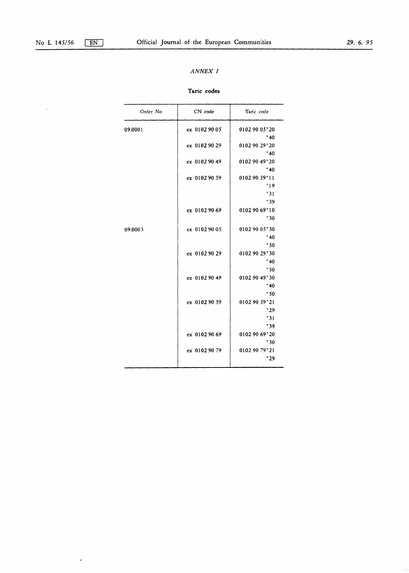$\epsilon$ 

 $\hat{\mathcal{S}}$ 

# ANNEX I

# Taric codes

| Order No | CN code       | Taric code                |
|----------|---------------|---------------------------|
| 09.0001  | ex 0102 90 05 | 0102 90 05*20             |
|          |               | $*40$                     |
|          | ex 0102 90 29 | 0102 90 29 20             |
|          |               | $*40$                     |
|          | ex 0102 90 49 | 0102 90 49*20             |
|          |               | $*40$                     |
|          | ex 0102 90 59 | 0102 90 59*11             |
|          |               | $*19$                     |
|          |               | $*31$                     |
|          |               | *39                       |
|          | ex 0102 90 69 | 0102 90 69*10             |
|          |               | $*30$                     |
| 09.0003  | ex 0102 90 05 | 0102 90 05*30             |
|          |               | $*40$                     |
|          |               | .50                       |
|          | ex 0102 90 29 | 0102 90 29*30             |
|          |               | $*40$                     |
|          |               | .50                       |
|          | ex 0102 90 49 | 0102 90 49*30             |
|          |               | $*40$                     |
|          |               | .50                       |
|          | ex 0102 90 59 | 0102 90 59*21             |
|          |               | .29                       |
|          |               | 31                        |
|          |               | '39                       |
|          | ex 0102 90 69 | 0102 90 69*20             |
|          |               | $*30$                     |
|          | ex 0102 90 79 | $01029079$ <sup>2</sup> 1 |
|          |               | *29                       |